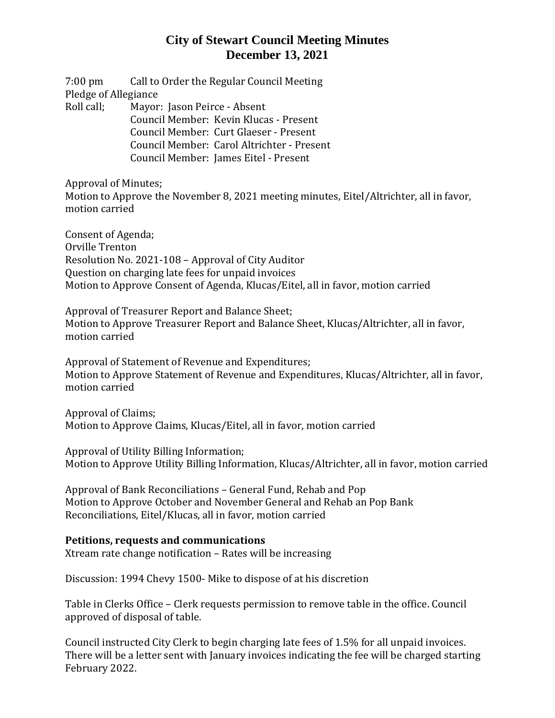7:00 pm Call to Order the Regular Council Meeting Pledge of Allegiance Roll call; Mayor: Jason Peirce - Absent Council Member: Kevin Klucas - Present Council Member: Curt Glaeser - Present Council Member: Carol Altrichter - Present Council Member: James Eitel - Present

Approval of Minutes;

Motion to Approve the November 8, 2021 meeting minutes, Eitel/Altrichter, all in favor, motion carried

Consent of Agenda; Orville Trenton Resolution No. 2021-108 – Approval of City Auditor Question on charging late fees for unpaid invoices Motion to Approve Consent of Agenda, Klucas/Eitel, all in favor, motion carried

Approval of Treasurer Report and Balance Sheet; Motion to Approve Treasurer Report and Balance Sheet, Klucas/Altrichter, all in favor, motion carried

Approval of Statement of Revenue and Expenditures; Motion to Approve Statement of Revenue and Expenditures, Klucas/Altrichter, all in favor, motion carried

Approval of Claims; Motion to Approve Claims, Klucas/Eitel, all in favor, motion carried

Approval of Utility Billing Information; Motion to Approve Utility Billing Information, Klucas/Altrichter, all in favor, motion carried

Approval of Bank Reconciliations – General Fund, Rehab and Pop Motion to Approve October and November General and Rehab an Pop Bank Reconciliations, Eitel/Klucas, all in favor, motion carried

### **Petitions, requests and communications**

Xtream rate change notification – Rates will be increasing

Discussion: 1994 Chevy 1500- Mike to dispose of at his discretion

Table in Clerks Office – Clerk requests permission to remove table in the office. Council approved of disposal of table.

Council instructed City Clerk to begin charging late fees of 1.5% for all unpaid invoices. There will be a letter sent with January invoices indicating the fee will be charged starting February 2022.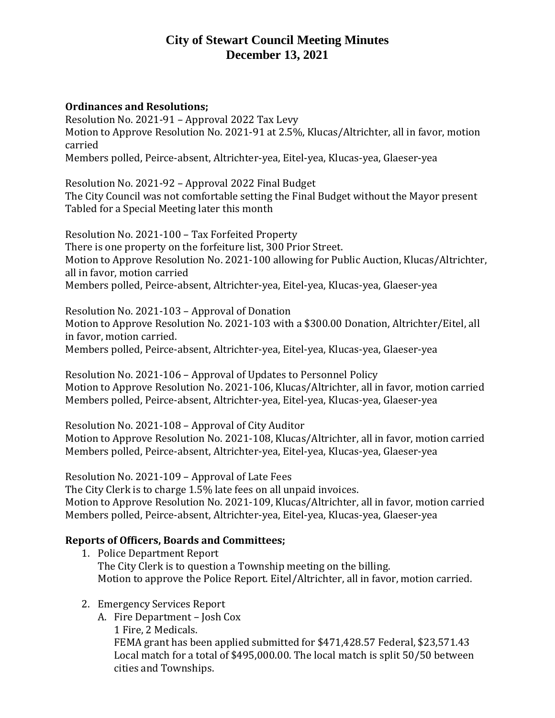#### **Ordinances and Resolutions;**

Resolution No. 2021-91 – Approval 2022 Tax Levy Motion to Approve Resolution No. 2021-91 at 2.5%, Klucas/Altrichter, all in favor, motion carried Members polled, Peirce-absent, Altrichter-yea, Eitel-yea, Klucas-yea, Glaeser-yea

Resolution No. 2021-92 – Approval 2022 Final Budget

The City Council was not comfortable setting the Final Budget without the Mayor present Tabled for a Special Meeting later this month

Resolution No. 2021-100 – Tax Forfeited Property There is one property on the forfeiture list, 300 Prior Street. Motion to Approve Resolution No. 2021-100 allowing for Public Auction, Klucas/Altrichter, all in favor, motion carried Members polled, Peirce-absent, Altrichter-yea, Eitel-yea, Klucas-yea, Glaeser-yea

Resolution No. 2021-103 – Approval of Donation Motion to Approve Resolution No. 2021-103 with a \$300.00 Donation, Altrichter/Eitel, all in favor, motion carried. Members polled, Peirce-absent, Altrichter-yea, Eitel-yea, Klucas-yea, Glaeser-yea

Resolution No. 2021-106 – Approval of Updates to Personnel Policy Motion to Approve Resolution No. 2021-106, Klucas/Altrichter, all in favor, motion carried Members polled, Peirce-absent, Altrichter-yea, Eitel-yea, Klucas-yea, Glaeser-yea

Resolution No. 2021-108 – Approval of City Auditor Motion to Approve Resolution No. 2021-108, Klucas/Altrichter, all in favor, motion carried Members polled, Peirce-absent, Altrichter-yea, Eitel-yea, Klucas-yea, Glaeser-yea

Resolution No. 2021-109 – Approval of Late Fees The City Clerk is to charge 1.5% late fees on all unpaid invoices. Motion to Approve Resolution No. 2021-109, Klucas/Altrichter, all in favor, motion carried Members polled, Peirce-absent, Altrichter-yea, Eitel-yea, Klucas-yea, Glaeser-yea

### **Reports of Officers, Boards and Committees;**

- 1. Police Department Report The City Clerk is to question a Township meeting on the billing. Motion to approve the Police Report. Eitel/Altrichter, all in favor, motion carried.
- 2. Emergency Services Report
	- A. Fire Department Josh Cox 1 Fire, 2 Medicals. FEMA grant has been applied submitted for \$471,428.57 Federal, \$23,571.43 Local match for a total of \$495,000.00. The local match is split 50/50 between cities and Townships.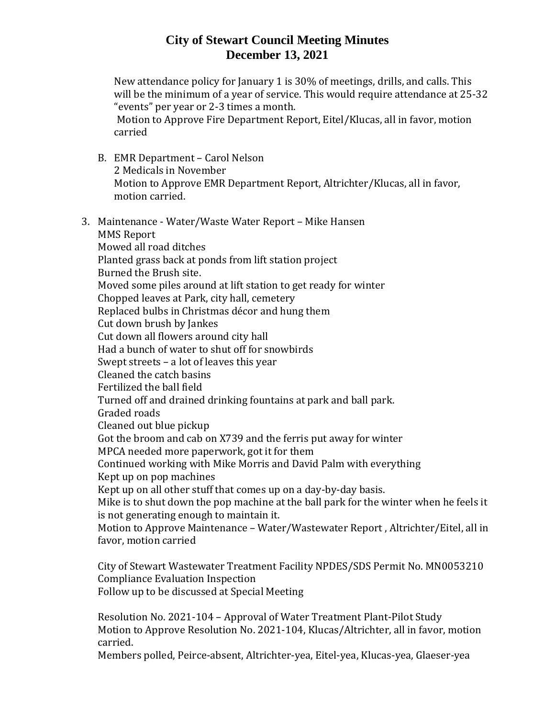New attendance policy for January 1 is 30% of meetings, drills, and calls. This will be the minimum of a year of service. This would require attendance at 25-32 "events" per year or 2-3 times a month.

Motion to Approve Fire Department Report, Eitel/Klucas, all in favor, motion carried

- B. EMR Department Carol Nelson 2 Medicals in November Motion to Approve EMR Department Report, Altrichter/Klucas, all in favor, motion carried.
- 3. Maintenance Water/Waste Water Report Mike Hansen MMS Report Mowed all road ditches Planted grass back at ponds from lift station project Burned the Brush site. Moved some piles around at lift station to get ready for winter Chopped leaves at Park, city hall, cemetery Replaced bulbs in Christmas décor and hung them Cut down brush by Jankes Cut down all flowers around city hall Had a bunch of water to shut off for snowbirds Swept streets – a lot of leaves this year Cleaned the catch basins Fertilized the ball field Turned off and drained drinking fountains at park and ball park. Graded roads Cleaned out blue pickup Got the broom and cab on X739 and the ferris put away for winter MPCA needed more paperwork, got it for them Continued working with Mike Morris and David Palm with everything Kept up on pop machines Kept up on all other stuff that comes up on a day-by-day basis. Mike is to shut down the pop machine at the ball park for the winter when he feels it is not generating enough to maintain it. Motion to Approve Maintenance – Water/Wastewater Report , Altrichter/Eitel, all in favor, motion carried

City of Stewart Wastewater Treatment Facility NPDES/SDS Permit No. MN0053210 Compliance Evaluation Inspection Follow up to be discussed at Special Meeting

Resolution No. 2021-104 – Approval of Water Treatment Plant-Pilot Study Motion to Approve Resolution No. 2021-104, Klucas/Altrichter, all in favor, motion carried.

Members polled, Peirce-absent, Altrichter-yea, Eitel-yea, Klucas-yea, Glaeser-yea